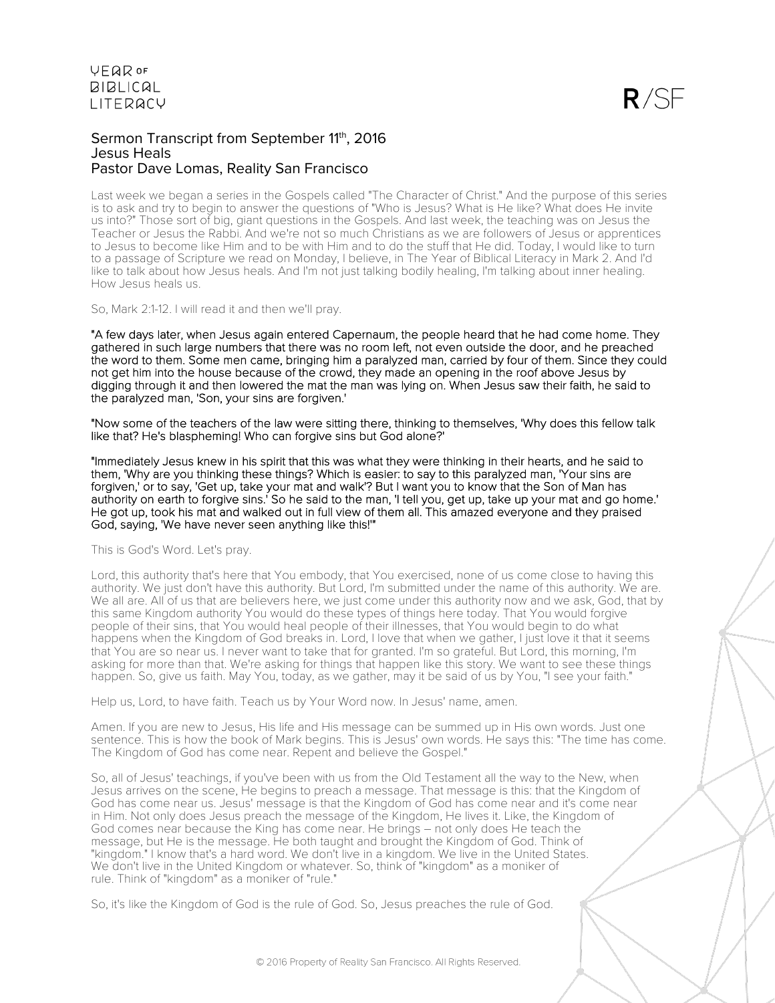

#### Sermon Transcript from September 11th, 2016 Jesus Heals Pastor Dave Lomas, Reality San Francisco

Last week we began a series in the Gospels called "The Character of Christ." And the purpose of this series is to ask and try to begin to answer the questions of "Who is Jesus? What is He like? What does He invite us into?" Those sort of big, giant questions in the Gospels. And last week, the teaching was on Jesus the Teacher or Jesus the Rabbi. And we're not so much Christians as we are followers of Jesus or apprentices to Jesus to become like Him and to be with Him and to do the stuff that He did. Today, I would like to turn to a passage of Scripture we read on Monday, I believe, in The Year of Biblical Literacy in Mark 2. And I'd like to talk about how Jesus heals. And I'm not just talking bodily healing, I'm talking about inner healing. How Jesus heals us.

So, Mark 2:1-12. I will read it and then we'll pray.

"A few days later, when Jesus again entered Capernaum, the people heard that he had come home. They gathered in such large numbers that there was no room left, not even outside the door, and he preached the word to them. Some men came, bringing him a paralyzed man, carried by four of them. Since they could not get him into the house because of the crowd, they made an opening in the roof above Jesus by digging through it and then lowered the mat the man was lying on. When Jesus saw their faith, he said to the paralyzed man, 'Son, your sins are forgiven.'

"Now some of the teachers of the law were sitting there, thinking to themselves, 'Why does this fellow talk like that? He's blaspheming! Who can forgive sins but God alone?'

"Immediately Jesus knew in his spirit that this was what they were thinking in their hearts, and he said to them, 'Why are you thinking these things? Which is easier: to say to this paralyzed man, 'Your sins are forgiven,' or to say, 'Get up, take your mat and walk'? But I want you to know that the Son of Man has authority on earth to forgive sins.' So he said to the man, 'I tell you, get up, take up your mat and go home.' He got up, took his mat and walked out in full view of them all. This amazed everyone and they praised God, saying, 'We have never seen anything like this!'"

This is God's Word. Let's pray.

Lord, this authority that's here that You embody, that You exercised, none of us come close to having this authority. We just don't have this authority. But Lord, I'm submitted under the name of this authority. We are. We all are. All of us that are believers here, we just come under this authority now and we ask, God, that by this same Kingdom authority You would do these types of things here today. That You would forgive people of their sins, that You would heal people of their illnesses, that You would begin to do what happens when the Kingdom of God breaks in. Lord, I love that when we gather, I just love it that it seems that You are so near us. I never want to take that for granted. I'm so grateful. But Lord, this morning, I'm asking for more than that. We're asking for things that happen like this story. We want to see these things happen. So, give us faith. May You, today, as we gather, may it be said of us by You, "I see your faith."

Help us, Lord, to have faith. Teach us by Your Word now. In Jesus' name, amen.

Amen. If you are new to Jesus, His life and His message can be summed up in His own words. Just one sentence. This is how the book of Mark begins. This is Jesus' own words. He says this: "The time has come. The Kingdom of God has come near. Repent and believe the Gospel."

So, all of Jesus' teachings, if you've been with us from the Old Testament all the way to the New, when Jesus arrives on the scene, He begins to preach a message. That message is this: that the Kingdom of God has come near us. Jesus' message is that the Kingdom of God has come near and it's come near in Him. Not only does Jesus preach the message of the Kingdom, He lives it. Like, the Kingdom of God comes near because the King has come near. He brings – not only does He teach the message, but He is the message. He both taught and brought the Kingdom of God. Think of "kingdom." I know that's a hard word. We don't live in a kingdom. We live in the United States. We don't live in the United Kingdom or whatever. So, think of "kingdom" as a moniker of rule. Think of "kingdom" as a moniker of "rule."

So, it's like the Kingdom of God is the rule of God. So, Jesus preaches the rule of God.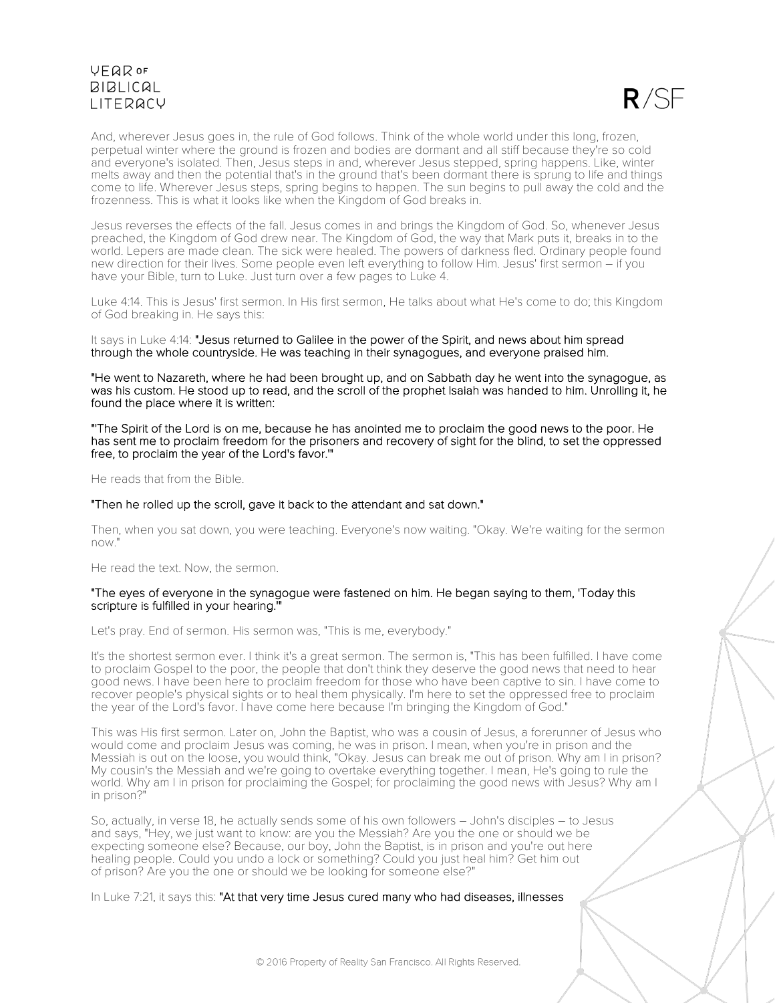$R/SF$ 

And, wherever Jesus goes in, the rule of God follows. Think of the whole world under this long, frozen, perpetual winter where the ground is frozen and bodies are dormant and all stiff because they're so cold and everyone's isolated. Then, Jesus steps in and, wherever Jesus stepped, spring happens. Like, winter melts away and then the potential that's in the ground that's been dormant there is sprung to life and things come to life. Wherever Jesus steps, spring begins to happen. The sun begins to pull away the cold and the frozenness. This is what it looks like when the Kingdom of God breaks in.

Jesus reverses the effects of the fall. Jesus comes in and brings the Kingdom of God. So, whenever Jesus preached, the Kingdom of God drew near. The Kingdom of God, the way that Mark puts it, breaks in to the world. Lepers are made clean. The sick were healed. The powers of darkness fled. Ordinary people found new direction for their lives. Some people even left everything to follow Him. Jesus' first sermon – if you have your Bible, turn to Luke. Just turn over a few pages to Luke 4.

Luke 4:14. This is Jesus' first sermon. In His first sermon, He talks about what He's come to do; this Kingdom of God breaking in. He says this:

It says in Luke 4:14: "Jesus returned to Galilee in the power of the Spirit, and news about him spread through the whole countryside. He was teaching in their synagogues, and everyone praised him.

"He went to Nazareth, where he had been brought up, and on Sabbath day he went into the synagogue, as was his custom. He stood up to read, and the scroll of the prophet Isaiah was handed to him. Unrolling it, he found the place where it is written:

"'The Spirit of the Lord is on me, because he has anointed me to proclaim the good news to the poor. He has sent me to proclaim freedom for the prisoners and recovery of sight for the blind, to set the oppressed free, to proclaim the year of the Lord's favor.'"

He reads that from the Bible.

#### "Then he rolled up the scroll, gave it back to the attendant and sat down."

Then, when you sat down, you were teaching. Everyone's now waiting. "Okay. We're waiting for the sermon now."

He read the text. Now, the sermon.

#### "The eyes of everyone in the synagogue were fastened on him. He began saying to them, 'Today this scripture is fulfilled in your hearing.'"

Let's pray. End of sermon. His sermon was, "This is me, everybody."

It's the shortest sermon ever. I think it's a great sermon. The sermon is, "This has been fulfilled. I have come to proclaim Gospel to the poor, the people that don't think they deserve the good news that need to hear good news. I have been here to proclaim freedom for those who have been captive to sin. I have come to recover people's physical sights or to heal them physically. I'm here to set the oppressed free to proclaim the year of the Lord's favor. I have come here because I'm bringing the Kingdom of God."

This was His first sermon. Later on, John the Baptist, who was a cousin of Jesus, a forerunner of Jesus who would come and proclaim Jesus was coming, he was in prison. I mean, when you're in prison and the Messiah is out on the loose, you would think, "Okay. Jesus can break me out of prison. Why am I in prison? My cousin's the Messiah and we're going to overtake everything together. I mean, He's going to rule the world. Why am I in prison for proclaiming the Gospel; for proclaiming the good news with Jesus? Why am I in prison?"

So, actually, in verse 18, he actually sends some of his own followers – John's disciples – to Jesus and says, "Hey, we just want to know: are you the Messiah? Are you the one or should we be expecting someone else? Because, our boy, John the Baptist, is in prison and you're out here healing people. Could you undo a lock or something? Could you just heal him? Get him out of prison? Are you the one or should we be looking for someone else?"

In Luke 7:21, it says this: "At that very time Jesus cured many who had diseases, illnesses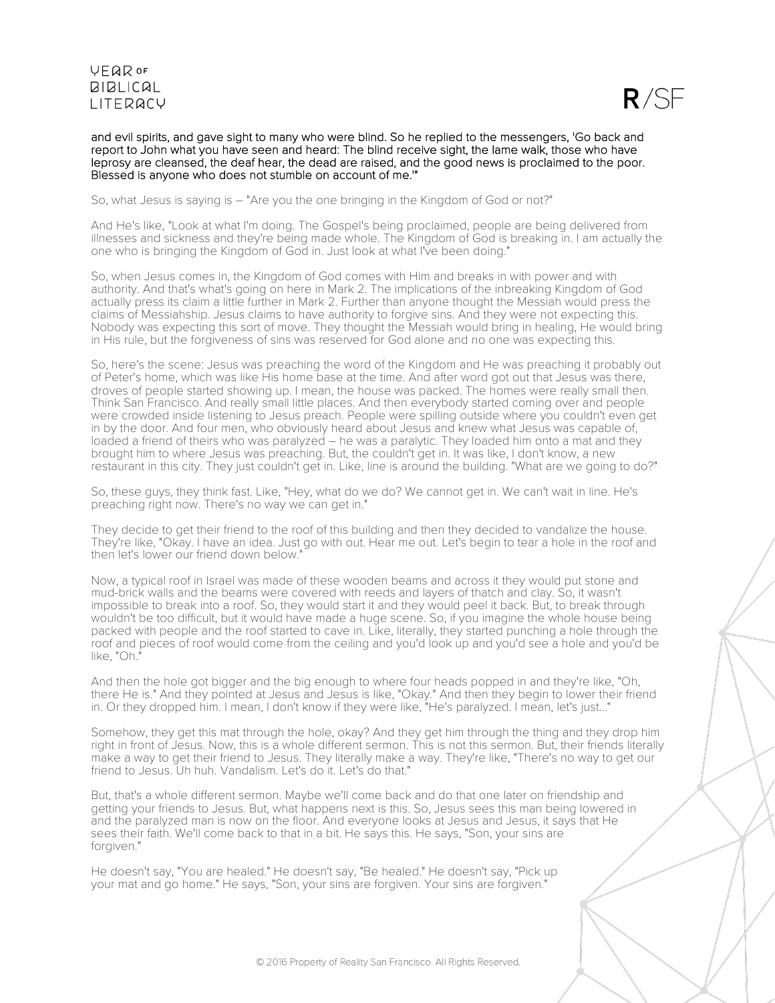

and evil spirits, and gave sight to many who were blind. So he replied to the messengers, 'Go back and report to John what you have seen and heard: The blind receive sight, the lame walk, those who have leprosy are cleansed, the deaf hear, the dead are raised, and the good news is proclaimed to the poor. Blessed is anyone who does not stumble on account of me.'"

So, what Jesus is saying is – "Are you the one bringing in the Kingdom of God or not?"

And He's like, "Look at what I'm doing. The Gospel's being proclaimed, people are being delivered from illnesses and sickness and they're being made whole. The Kingdom of God is breaking in. I am actually the one who is bringing the Kingdom of God in. Just look at what I've been doing."

So, when Jesus comes in, the Kingdom of God comes with Him and breaks in with power and with authority. And that's what's going on here in Mark 2. The implications of the inbreaking Kingdom of God actually press its claim a little further in Mark 2. Further than anyone thought the Messiah would press the claims of Messiahship. Jesus claims to have authority to forgive sins. And they were not expecting this. Nobody was expecting this sort of move. They thought the Messiah would bring in healing, He would bring in His rule, but the forgiveness of sins was reserved for God alone and no one was expecting this.

So, here's the scene: Jesus was preaching the word of the Kingdom and He was preaching it probably out of Peter's home, which was like His home base at the time. And after word got out that Jesus was there, droves of people started showing up. I mean, the house was packed. The homes were really small then. Think San Francisco. And really small little places. And then everybody started coming over and people were crowded inside listening to Jesus preach. People were spilling outside where you couldn't even get in by the door. And four men, who obviously heard about Jesus and knew what Jesus was capable of, loaded a friend of theirs who was paralyzed – he was a paralytic. They loaded him onto a mat and they brought him to where Jesus was preaching. But, the couldn't get in. It was like, I don't know, a new restaurant in this city. They just couldn't get in. Like, line is around the building. "What are we going to do?"

So, these guys, they think fast. Like, "Hey, what do we do? We cannot get in. We can't wait in line. He's preaching right now. There's no way we can get in."

They decide to get their friend to the roof of this building and then they decided to vandalize the house. They're like, "Okay. I have an idea. Just go with out. Hear me out. Let's begin to tear a hole in the roof and then let's lower our friend down below."

Now, a typical roof in Israel was made of these wooden beams and across it they would put stone and mud-brick walls and the beams were covered with reeds and layers of thatch and clay. So, it wasn't impossible to break into a roof. So, they would start it and they would peel it back. But, to break through wouldn't be too difficult, but it would have made a huge scene. So, if you imagine the whole house being packed with people and the roof started to cave in. Like, literally, they started punching a hole through the roof and pieces of roof would come from the ceiling and you'd look up and you'd see a hole and you'd be like, "Oh."

And then the hole got bigger and the big enough to where four heads popped in and they're like, "Oh, there He is." And they pointed at Jesus and Jesus is like, "Okay." And then they begin to lower their friend in. Or they dropped him. I mean, I don't know if they were like, "He's paralyzed. I mean, let's just..."

Somehow, they get this mat through the hole, okay? And they get him through the thing and they drop him right in front of Jesus. Now, this is a whole different sermon. This is not this sermon. But, their friends literally make a way to get their friend to Jesus. They literally make a way. They're like, "There's no way to get our friend to Jesus. Uh huh. Vandalism. Let's do it. Let's do that."

But, that's a whole different sermon. Maybe we'll come back and do that one later on friendship and getting your friends to Jesus. But, what happens next is this. So, Jesus sees this man being lowered in and the paralyzed man is now on the floor. And everyone looks at Jesus and Jesus, it says that He sees their faith. We'll come back to that in a bit. He says this. He says, "Son, your sins are forgiven."

He doesn't say, "You are healed." He doesn't say, "Be healed." He doesn't say, "Pick up your mat and go home." He says, "Son, your sins are forgiven. Your sins are forgiven."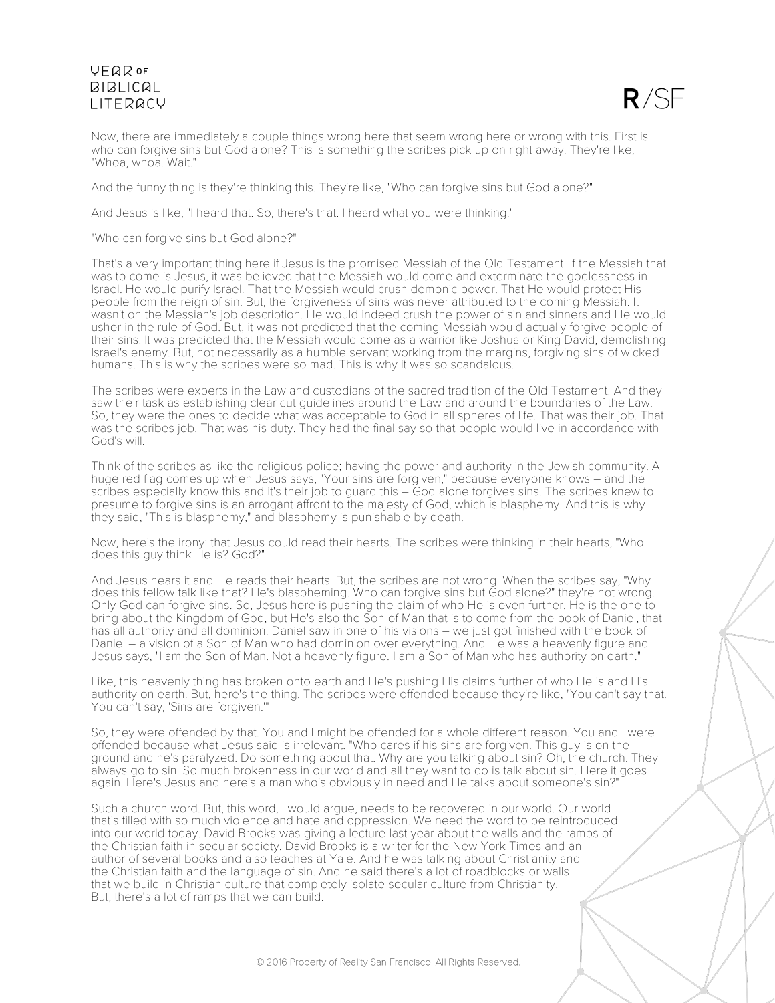

Now, there are immediately a couple things wrong here that seem wrong here or wrong with this. First is who can forgive sins but God alone? This is something the scribes pick up on right away. They're like, "Whoa, whoa. Wait."

And the funny thing is they're thinking this. They're like, "Who can forgive sins but God alone?"

And Jesus is like, "I heard that. So, there's that. I heard what you were thinking."

"Who can forgive sins but God alone?"

That's a very important thing here if Jesus is the promised Messiah of the Old Testament. If the Messiah that was to come is Jesus, it was believed that the Messiah would come and exterminate the godlessness in Israel. He would purify Israel. That the Messiah would crush demonic power. That He would protect His people from the reign of sin. But, the forgiveness of sins was never attributed to the coming Messiah. It wasn't on the Messiah's job description. He would indeed crush the power of sin and sinners and He would usher in the rule of God. But, it was not predicted that the coming Messiah would actually forgive people of their sins. It was predicted that the Messiah would come as a warrior like Joshua or King David, demolishing Israel's enemy. But, not necessarily as a humble servant working from the margins, forgiving sins of wicked humans. This is why the scribes were so mad. This is why it was so scandalous.

The scribes were experts in the Law and custodians of the sacred tradition of the Old Testament. And they saw their task as establishing clear cut guidelines around the Law and around the boundaries of the Law. So, they were the ones to decide what was acceptable to God in all spheres of life. That was their job. That was the scribes job. That was his duty. They had the final say so that people would live in accordance with God's will.

Think of the scribes as like the religious police; having the power and authority in the Jewish community. A huge red flag comes up when Jesus says, "Your sins are forgiven," because everyone knows - and the scribes especially know this and it's their job to guard this – God alone forgives sins. The scribes knew to presume to forgive sins is an arrogant affront to the majesty of God, which is blasphemy. And this is why they said, "This is blasphemy," and blasphemy is punishable by death.

Now, here's the irony: that Jesus could read their hearts. The scribes were thinking in their hearts, "Who does this guy think He is? God?"

And Jesus hears it and He reads their hearts. But, the scribes are not wrong. When the scribes say, "Why does this fellow talk like that? He's blaspheming. Who can forgive sins but God alone?" they're not wrong. Only God can forgive sins. So, Jesus here is pushing the claim of who He is even further. He is the one to bring about the Kingdom of God, but He's also the Son of Man that is to come from the book of Daniel, that has all authority and all dominion. Daniel saw in one of his visions – we just got finished with the book of Daniel – a vision of a Son of Man who had dominion over everything. And He was a heavenly figure and Jesus says, "I am the Son of Man. Not a heavenly figure. I am a Son of Man who has authority on earth."

Like, this heavenly thing has broken onto earth and He's pushing His claims further of who He is and His authority on earth. But, here's the thing. The scribes were offended because they're like, "You can't say that. You can't say, 'Sins are forgiven.'"

So, they were offended by that. You and I might be offended for a whole different reason. You and I were offended because what Jesus said is irrelevant. "Who cares if his sins are forgiven. This guy is on the ground and he's paralyzed. Do something about that. Why are you talking about sin? Oh, the church. They always go to sin. So much brokenness in our world and all they want to do is talk about sin. Here it goes again. Here's Jesus and here's a man who's obviously in need and He talks about someone's sin?"

Such a church word. But, this word, I would argue, needs to be recovered in our world. Our world that's filled with so much violence and hate and oppression. We need the word to be reintroduced into our world today. David Brooks was giving a lecture last year about the walls and the ramps of the Christian faith in secular society. David Brooks is a writer for the New York Times and an author of several books and also teaches at Yale. And he was talking about Christianity and the Christian faith and the language of sin. And he said there's a lot of roadblocks or walls that we build in Christian culture that completely isolate secular culture from Christianity. But, there's a lot of ramps that we can build.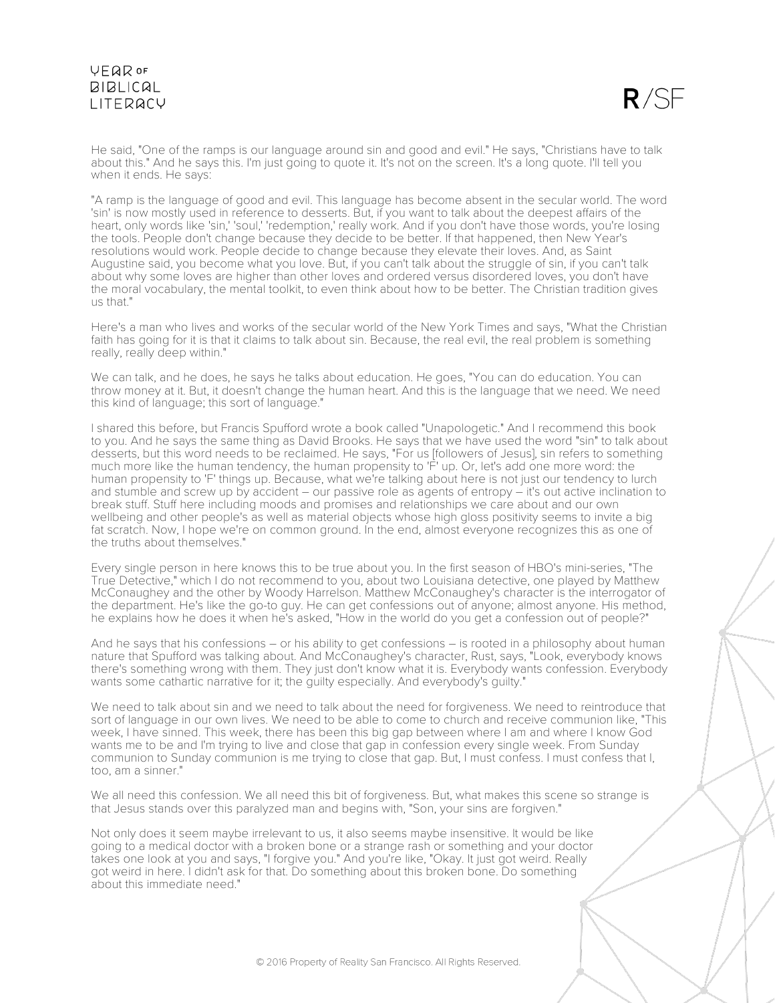

He said, "One of the ramps is our language around sin and good and evil." He says, "Christians have to talk about this." And he says this. I'm just going to quote it. It's not on the screen. It's a long quote. I'll tell you when it ends. He says:

"A ramp is the language of good and evil. This language has become absent in the secular world. The word 'sin' is now mostly used in reference to desserts. But, if you want to talk about the deepest affairs of the heart, only words like 'sin,' 'soul,' 'redemption,' really work. And if you don't have those words, you're losing the tools. People don't change because they decide to be better. If that happened, then New Year's resolutions would work. People decide to change because they elevate their loves. And, as Saint Augustine said, you become what you love. But, if you can't talk about the struggle of sin, if you can't talk about why some loves are higher than other loves and ordered versus disordered loves, you don't have the moral vocabulary, the mental toolkit, to even think about how to be better. The Christian tradition gives us that."

Here's a man who lives and works of the secular world of the New York Times and says, "What the Christian faith has going for it is that it claims to talk about sin. Because, the real evil, the real problem is something really, really deep within."

We can talk, and he does, he says he talks about education. He goes, "You can do education. You can throw money at it. But, it doesn't change the human heart. And this is the language that we need. We need this kind of language; this sort of language."

I shared this before, but Francis Spufford wrote a book called "Unapologetic." And I recommend this book to you. And he says the same thing as David Brooks. He says that we have used the word "sin" to talk about desserts, but this word needs to be reclaimed. He says, "For us [followers of Jesus], sin refers to something much more like the human tendency, the human propensity to 'F' up. Or, let's add one more word: the human propensity to 'F' things up. Because, what we're talking about here is not just our tendency to lurch and stumble and screw up by accident – our passive role as agents of entropy – it's out active inclination to break stuff. Stuff here including moods and promises and relationships we care about and our own wellbeing and other people's as well as material objects whose high gloss positivity seems to invite a big fat scratch. Now, I hope we're on common ground. In the end, almost everyone recognizes this as one of the truths about themselves."

Every single person in here knows this to be true about you. In the first season of HBO's mini-series, "The True Detective," which I do not recommend to you, about two Louisiana detective, one played by Matthew McConaughey and the other by Woody Harrelson. Matthew McConaughey's character is the interrogator of the department. He's like the go-to guy. He can get confessions out of anyone; almost anyone. His method, he explains how he does it when he's asked, "How in the world do you get a confession out of people?"

And he says that his confessions – or his ability to get confessions – is rooted in a philosophy about human nature that Spufford was talking about. And McConaughey's character, Rust, says, "Look, everybody knows there's something wrong with them. They just don't know what it is. Everybody wants confession. Everybody wants some cathartic narrative for it; the guilty especially. And everybody's guilty."

We need to talk about sin and we need to talk about the need for forgiveness. We need to reintroduce that sort of language in our own lives. We need to be able to come to church and receive communion like, "This week, I have sinned. This week, there has been this big gap between where I am and where I know God wants me to be and I'm trying to live and close that gap in confession every single week. From Sunday communion to Sunday communion is me trying to close that gap. But, I must confess. I must confess that I, too, am a sinner."

We all need this confession. We all need this bit of forgiveness. But, what makes this scene so strange is that Jesus stands over this paralyzed man and begins with, "Son, your sins are forgiven."

Not only does it seem maybe irrelevant to us, it also seems maybe insensitive. It would be like going to a medical doctor with a broken bone or a strange rash or something and your doctor takes one look at you and says, "I forgive you." And you're like, "Okay. It just got weird. Really got weird in here. I didn't ask for that. Do something about this broken bone. Do something about this immediate need."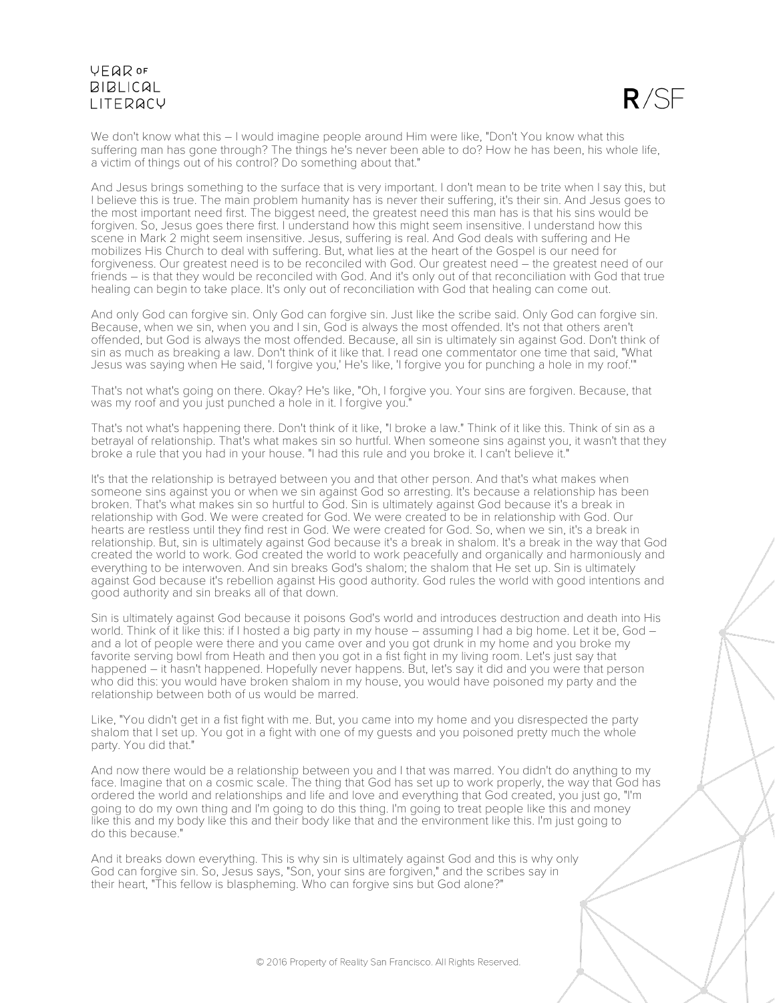$R/SE$ 

We don't know what this – I would imagine people around Him were like, "Don't You know what this suffering man has gone through? The things he's never been able to do? How he has been, his whole life, a victim of things out of his control? Do something about that."

And Jesus brings something to the surface that is very important. I don't mean to be trite when I say this, but I believe this is true. The main problem humanity has is never their suffering, it's their sin. And Jesus goes to the most important need first. The biggest need, the greatest need this man has is that his sins would be forgiven. So, Jesus goes there first. I understand how this might seem insensitive. I understand how this scene in Mark 2 might seem insensitive. Jesus, suffering is real. And God deals with suffering and He mobilizes His Church to deal with suffering. But, what lies at the heart of the Gospel is our need for forgiveness. Our greatest need is to be reconciled with God. Our greatest need – the greatest need of our friends – is that they would be reconciled with God. And it's only out of that reconciliation with God that true healing can begin to take place. It's only out of reconciliation with God that healing can come out.

And only God can forgive sin. Only God can forgive sin. Just like the scribe said. Only God can forgive sin. Because, when we sin, when you and I sin, God is always the most offended. It's not that others aren't offended, but God is always the most offended. Because, all sin is ultimately sin against God. Don't think of sin as much as breaking a law. Don't think of it like that. I read one commentator one time that said, "What Jesus was saying when He said, 'I forgive you,' He's like, 'I forgive you for punching a hole in my roof.'"

That's not what's going on there. Okay? He's like, "Oh, I forgive you. Your sins are forgiven. Because, that was my roof and you just punched a hole in it. I forgive you."

That's not what's happening there. Don't think of it like, "I broke a law." Think of it like this. Think of sin as a betrayal of relationship. That's what makes sin so hurtful. When someone sins against you, it wasn't that they broke a rule that you had in your house. "I had this rule and you broke it. I can't believe it."

It's that the relationship is betrayed between you and that other person. And that's what makes when someone sins against you or when we sin against God so arresting. It's because a relationship has been broken. That's what makes sin so hurtful to God. Sin is ultimately against God because it's a break in relationship with God. We were created for God. We were created to be in relationship with God. Our hearts are restless until they find rest in God. We were created for God. So, when we sin, it's a break in relationship. But, sin is ultimately against God because it's a break in shalom. It's a break in the way that God created the world to work. God created the world to work peacefully and organically and harmoniously and everything to be interwoven. And sin breaks God's shalom; the shalom that He set up. Sin is ultimately against God because it's rebellion against His good authority. God rules the world with good intentions and good authority and sin breaks all of that down.

Sin is ultimately against God because it poisons God's world and introduces destruction and death into His world. Think of it like this: if I hosted a big party in my house – assuming I had a big home. Let it be, God – and a lot of people were there and you came over and you got drunk in my home and you broke my favorite serving bowl from Heath and then you got in a fist fight in my living room. Let's just say that happened – it hasn't happened. Hopefully never happens. But, let's say it did and you were that person who did this: you would have broken shalom in my house, you would have poisoned my party and the relationship between both of us would be marred.

Like, "You didn't get in a fist fight with me. But, you came into my home and you disrespected the party shalom that I set up. You got in a fight with one of my guests and you poisoned pretty much the whole party. You did that."

And now there would be a relationship between you and I that was marred. You didn't do anything to my face. Imagine that on a cosmic scale. The thing that God has set up to work properly, the way that God has ordered the world and relationships and life and love and everything that God created, you just go, "I'm going to do my own thing and I'm going to do this thing. I'm going to treat people like this and money like this and my body like this and their body like that and the environment like this. I'm just going to do this because."

And it breaks down everything. This is why sin is ultimately against God and this is why only God can forgive sin. So, Jesus says, "Son, your sins are forgiven," and the scribes say in their heart, "This fellow is blaspheming. Who can forgive sins but God alone?"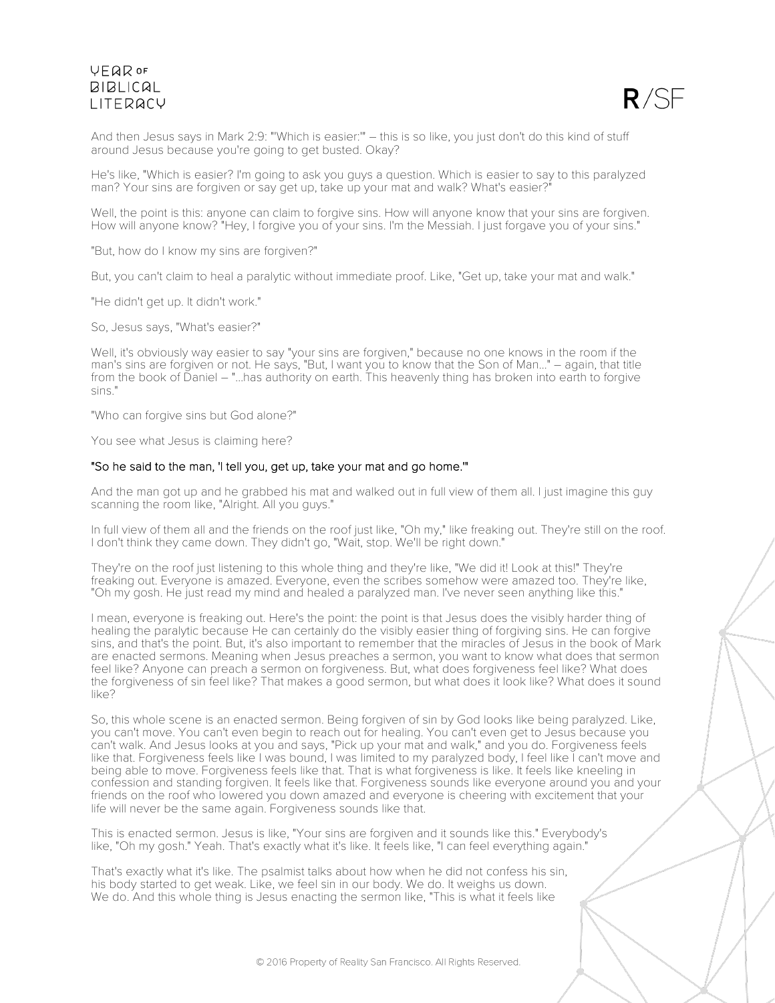

And then Jesus says in Mark 2:9: "'Which is easier:'" – this is so like, you just don't do this kind of stuff around Jesus because you're going to get busted. Okay?

He's like, "Which is easier? I'm going to ask you guys a question. Which is easier to say to this paralyzed man? Your sins are forgiven or say get up, take up your mat and walk? What's easier?"

Well, the point is this: anyone can claim to forgive sins. How will anyone know that your sins are forgiven. How will anyone know? "Hey, I forgive you of your sins. I'm the Messiah. I just forgave you of your sins."

"But, how do I know my sins are forgiven?"

But, you can't claim to heal a paralytic without immediate proof. Like, "Get up, take your mat and walk."

"He didn't get up. It didn't work."

So, Jesus says, "What's easier?"

Well, it's obviously way easier to say "your sins are forgiven," because no one knows in the room if the man's sins are forgiven or not. He says, "But, I want you to know that the Son of Man..." – again, that title from the book of Daniel – "...has authority on earth. This heavenly thing has broken into earth to forgive sins."

"Who can forgive sins but God alone?"

You see what Jesus is claiming here?

#### "So he said to the man, 'I tell you, get up, take your mat and go home.'"

And the man got up and he grabbed his mat and walked out in full view of them all. I just imagine this guy scanning the room like, "Alright. All you guys."

In full view of them all and the friends on the roof just like, "Oh my," like freaking out. They're still on the roof. I don't think they came down. They didn't go, "Wait, stop. We'll be right down."

They're on the roof just listening to this whole thing and they're like, "We did it! Look at this!" They're freaking out. Everyone is amazed. Everyone, even the scribes somehow were amazed too. They're like, "Oh my gosh. He just read my mind and healed a paralyzed man. I've never seen anything like this."

I mean, everyone is freaking out. Here's the point: the point is that Jesus does the visibly harder thing of healing the paralytic because He can certainly do the visibly easier thing of forgiving sins. He can forgive sins, and that's the point. But, it's also important to remember that the miracles of Jesus in the book of Mark are enacted sermons. Meaning when Jesus preaches a sermon, you want to know what does that sermon feel like? Anyone can preach a sermon on forgiveness. But, what does forgiveness feel like? What does the forgiveness of sin feel like? That makes a good sermon, but what does it look like? What does it sound like?

So, this whole scene is an enacted sermon. Being forgiven of sin by God looks like being paralyzed. Like, you can't move. You can't even begin to reach out for healing. You can't even get to Jesus because you can't walk. And Jesus looks at you and says, "Pick up your mat and walk," and you do. Forgiveness feels like that. Forgiveness feels like I was bound, I was limited to my paralyzed body, I feel like I can't move and being able to move. Forgiveness feels like that. That is what forgiveness is like. It feels like kneeling in confession and standing forgiven. It feels like that. Forgiveness sounds like everyone around you and your friends on the roof who lowered you down amazed and everyone is cheering with excitement that your life will never be the same again. Forgiveness sounds like that.

This is enacted sermon. Jesus is like, "Your sins are forgiven and it sounds like this." Everybody's like, "Oh my gosh." Yeah. That's exactly what it's like. It feels like, "I can feel everything again."

That's exactly what it's like. The psalmist talks about how when he did not confess his sin, his body started to get weak. Like, we feel sin in our body. We do. It weighs us down. We do. And this whole thing is Jesus enacting the sermon like, "This is what it feels like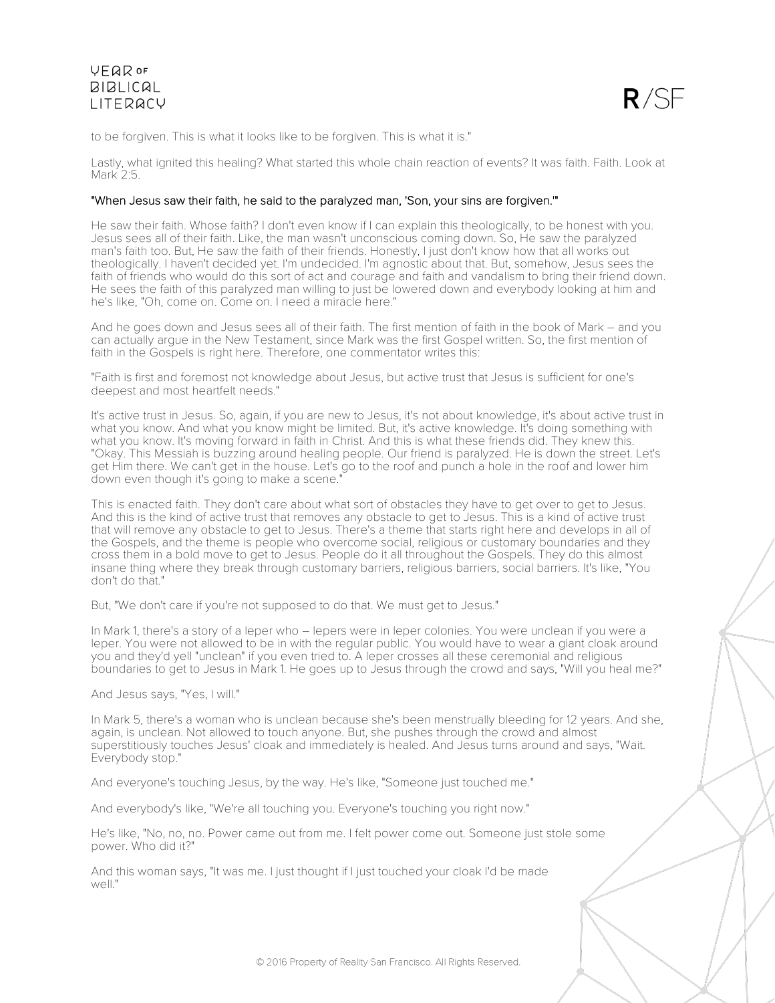

to be forgiven. This is what it looks like to be forgiven. This is what it is."

Lastly, what ignited this healing? What started this whole chain reaction of events? It was faith. Faith. Look at Mark 2:5.

#### "When Jesus saw their faith, he said to the paralyzed man, 'Son, your sins are forgiven.'"

He saw their faith. Whose faith? I don't even know if I can explain this theologically, to be honest with you. Jesus sees all of their faith. Like, the man wasn't unconscious coming down. So, He saw the paralyzed man's faith too. But, He saw the faith of their friends. Honestly, I just don't know how that all works out theologically. I haven't decided yet. I'm undecided. I'm agnostic about that. But, somehow, Jesus sees the faith of friends who would do this sort of act and courage and faith and vandalism to bring their friend down. He sees the faith of this paralyzed man willing to just be lowered down and everybody looking at him and he's like, "Oh, come on. Come on. I need a miracle here."

And he goes down and Jesus sees all of their faith. The first mention of faith in the book of Mark – and you can actually argue in the New Testament, since Mark was the first Gospel written. So, the first mention of faith in the Gospels is right here. Therefore, one commentator writes this:

"Faith is first and foremost not knowledge about Jesus, but active trust that Jesus is sufficient for one's deepest and most heartfelt needs."

It's active trust in Jesus. So, again, if you are new to Jesus, it's not about knowledge, it's about active trust in what you know. And what you know might be limited. But, it's active knowledge. It's doing something with what you know. It's moving forward in faith in Christ. And this is what these friends did. They knew this. "Okay. This Messiah is buzzing around healing people. Our friend is paralyzed. He is down the street. Let's get Him there. We can't get in the house. Let's go to the roof and punch a hole in the roof and lower him down even though it's going to make a scene."

This is enacted faith. They don't care about what sort of obstacles they have to get over to get to Jesus. And this is the kind of active trust that removes any obstacle to get to Jesus. This is a kind of active trust that will remove any obstacle to get to Jesus. There's a theme that starts right here and develops in all of the Gospels, and the theme is people who overcome social, religious or customary boundaries and they cross them in a bold move to get to Jesus. People do it all throughout the Gospels. They do this almost insane thing where they break through customary barriers, religious barriers, social barriers. It's like, "You don't do that."

But, "We don't care if you're not supposed to do that. We must get to Jesus."

In Mark 1, there's a story of a leper who – lepers were in leper colonies. You were unclean if you were a leper. You were not allowed to be in with the regular public. You would have to wear a giant cloak around you and they'd yell "unclean" if you even tried to. A leper crosses all these ceremonial and religious boundaries to get to Jesus in Mark 1. He goes up to Jesus through the crowd and says, "Will you heal me?"

And Jesus says, "Yes, I will."

In Mark 5, there's a woman who is unclean because she's been menstrually bleeding for 12 years. And she, again, is unclean. Not allowed to touch anyone. But, she pushes through the crowd and almost superstitiously touches Jesus' cloak and immediately is healed. And Jesus turns around and says, "Wait. Everybody stop."

And everyone's touching Jesus, by the way. He's like, "Someone just touched me."

And everybody's like, "We're all touching you. Everyone's touching you right now."

He's like, "No, no, no. Power came out from me. I felt power come out. Someone just stole some power. Who did it?"

And this woman says, "It was me. I just thought if I just touched your cloak I'd be made well."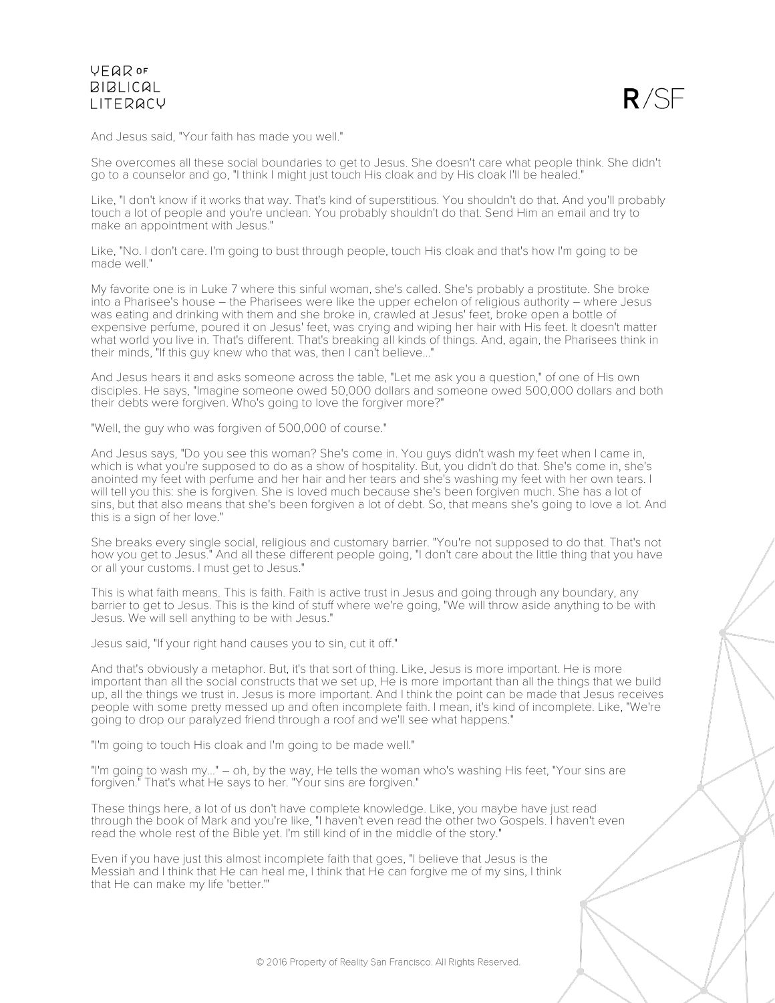

And Jesus said, "Your faith has made you well."

She overcomes all these social boundaries to get to Jesus. She doesn't care what people think. She didn't go to a counselor and go, "I think I might just touch His cloak and by His cloak I'll be healed."

Like, "I don't know if it works that way. That's kind of superstitious. You shouldn't do that. And you'll probably touch a lot of people and you're unclean. You probably shouldn't do that. Send Him an email and try to make an appointment with Jesus."

Like, "No. I don't care. I'm going to bust through people, touch His cloak and that's how I'm going to be made well."

My favorite one is in Luke 7 where this sinful woman, she's called. She's probably a prostitute. She broke into a Pharisee's house – the Pharisees were like the upper echelon of religious authority – where Jesus was eating and drinking with them and she broke in, crawled at Jesus' feet, broke open a bottle of expensive perfume, poured it on Jesus' feet, was crying and wiping her hair with His feet. It doesn't matter what world you live in. That's different. That's breaking all kinds of things. And, again, the Pharisees think in their minds, "If this guy knew who that was, then I can't believe..."

And Jesus hears it and asks someone across the table, "Let me ask you a question," of one of His own disciples. He says, "Imagine someone owed 50,000 dollars and someone owed 500,000 dollars and both their debts were forgiven. Who's going to love the forgiver more?"

"Well, the guy who was forgiven of 500,000 of course."

And Jesus says, "Do you see this woman? She's come in. You guys didn't wash my feet when I came in, which is what you're supposed to do as a show of hospitality. But, you didn't do that. She's come in, she's anointed my feet with perfume and her hair and her tears and she's washing my feet with her own tears. I will tell you this: she is forgiven. She is loved much because she's been forgiven much. She has a lot of sins, but that also means that she's been forgiven a lot of debt. So, that means she's going to love a lot. And this is a sign of her love."

She breaks every single social, religious and customary barrier. "You're not supposed to do that. That's not how you get to Jesus." And all these different people going, "I don't care about the little thing that you have or all your customs. I must get to Jesus."

This is what faith means. This is faith. Faith is active trust in Jesus and going through any boundary, any barrier to get to Jesus. This is the kind of stuff where we're going, "We will throw aside anything to be with Jesus. We will sell anything to be with Jesus."

Jesus said, "If your right hand causes you to sin, cut it off."

And that's obviously a metaphor. But, it's that sort of thing. Like, Jesus is more important. He is more important than all the social constructs that we set up, He is more important than all the things that we build up, all the things we trust in. Jesus is more important. And I think the point can be made that Jesus receives people with some pretty messed up and often incomplete faith. I mean, it's kind of incomplete. Like, "We're going to drop our paralyzed friend through a roof and we'll see what happens."

"I'm going to touch His cloak and I'm going to be made well."

"I'm going to wash my..." – oh, by the way, He tells the woman who's washing His feet, "Your sins are forgiven." That's what He says to her. "Your sins are forgiven."

These things here, a lot of us don't have complete knowledge. Like, you maybe have just read through the book of Mark and you're like, "I haven't even read the other two Gospels. I haven't even read the whole rest of the Bible yet. I'm still kind of in the middle of the story."

Even if you have just this almost incomplete faith that goes, "I believe that Jesus is the Messiah and I think that He can heal me, I think that He can forgive me of my sins, I think that He can make my life 'better.'"